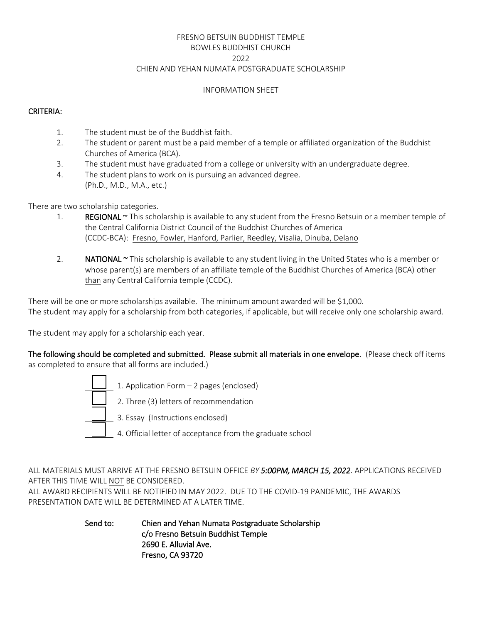# FRESNO BETSUIN BUDDHIST TEMPLE BOWLES BUDDHIST CHURCH 2022 CHIEN AND YEHAN NUMATA POSTGRADUATE SCHOLARSHIP

#### INFORMATION SHEET

### CRITERIA:

- 1. The student must be of the Buddhist faith.
- 2. The student or parent must be a paid member of a temple or affiliated organization of the Buddhist Churches of America (BCA).
- 3. The student must have graduated from a college or university with an undergraduate degree.
- 4. The student plans to work on is pursuing an advanced degree. (Ph.D., M.D., M.A., etc.)

There are two scholarship categories.

- 1. REGIONAL ~ This scholarship is available to any student from the Fresno Betsuin or a member temple of the Central California District Council of the Buddhist Churches of America (CCDC-BCA): Fresno, Fowler, Hanford, Parlier, Reedley, Visalia, Dinuba, Delano
- 2. NATIONAL  $\sim$  This scholarship is available to any student living in the United States who is a member or whose parent(s) are members of an affiliate temple of the Buddhist Churches of America (BCA) other than any Central California temple (CCDC).

There will be one or more scholarships available. The minimum amount awarded will be \$1,000. The student may apply for a scholarship from both categories, if applicable, but will receive only one scholarship award.

The student may apply for a scholarship each year.

The following should be completed and submitted. Please submit all materials in one envelope. (Please check off items as completed to ensure that all forms are included.)



ALL MATERIALS MUST ARRIVE AT THE FRESNO BETSUIN OFFICE *BY 5:00PM, MARCH 15, 2022*. APPLICATIONS RECEIVED AFTER THIS TIME WILL NOT BE CONSIDERED.

ALL AWARD RECIPIENTS WILL BE NOTIFIED IN MAY 2022. DUE TO THE COVID-19 PANDEMIC, THE AWARDS PRESENTATION DATE WILL BE DETERMINED AT A LATER TIME.

> Send to: Chien and Yehan Numata Postgraduate Scholarship c/o Fresno Betsuin Buddhist Temple 2690 E. Alluvial Ave. Fresno, CA 93720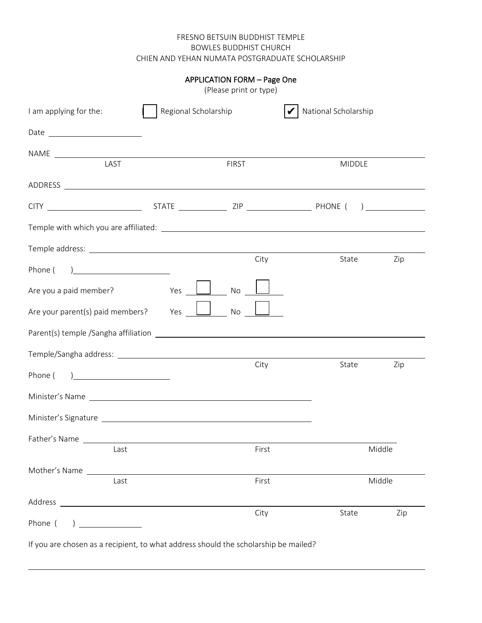### FRESNO BETSUIN BUDDHIST TEMPLE BOWLES BUDDHIST CHURCH CHIEN AND YEHAN NUMATA POSTGRADUATE SCHOLARSHIP

|                                                                                                                                                                                                                                |                      | <b>APPLICATION FORM - Page One</b><br>(Please print or type) |                      |        |
|--------------------------------------------------------------------------------------------------------------------------------------------------------------------------------------------------------------------------------|----------------------|--------------------------------------------------------------|----------------------|--------|
| I am applying for the:                                                                                                                                                                                                         | Regional Scholarship |                                                              | National Scholarship |        |
|                                                                                                                                                                                                                                |                      |                                                              |                      |        |
| LAST                                                                                                                                                                                                                           |                      |                                                              |                      |        |
|                                                                                                                                                                                                                                |                      | <b>FIRST</b>                                                 | <b>MIDDLE</b>        |        |
|                                                                                                                                                                                                                                |                      |                                                              |                      |        |
|                                                                                                                                                                                                                                |                      |                                                              |                      |        |
|                                                                                                                                                                                                                                |                      |                                                              |                      |        |
|                                                                                                                                                                                                                                |                      |                                                              |                      |        |
| Phone (<br><u> 1980 - Andrea Station Books, amerikansk politik (</u>                                                                                                                                                           |                      | City                                                         | State                | Zip    |
| Are you a paid member?                                                                                                                                                                                                         | Yes                  | No                                                           |                      |        |
| Are your parent(s) paid members?                                                                                                                                                                                               | Yes                  | $\Box$ No                                                    |                      |        |
|                                                                                                                                                                                                                                |                      |                                                              |                      |        |
|                                                                                                                                                                                                                                |                      |                                                              |                      |        |
| Phone (                                                                                                                                                                                                                        |                      | City                                                         | State                | Zip    |
|                                                                                                                                                                                                                                |                      |                                                              |                      |        |
| Minister's Signature Lawrence and Contract and Contract and Contract and Contract and Contract and Contract and                                                                                                                |                      |                                                              |                      |        |
| Father's Name and the state of the state of the state of the state of the state of the state of the state of the state of the state of the state of the state of the state of the state of the state of the state of the state |                      |                                                              |                      |        |
| Last                                                                                                                                                                                                                           |                      | First                                                        |                      | Middle |
| Mother's Name<br>Last                                                                                                                                                                                                          |                      | First                                                        |                      | Middle |
|                                                                                                                                                                                                                                |                      |                                                              |                      |        |
| Phone (                                                                                                                                                                                                                        |                      | City                                                         | State                | Zip    |

If you are chosen as a recipient, to what address should the scholarship be mailed?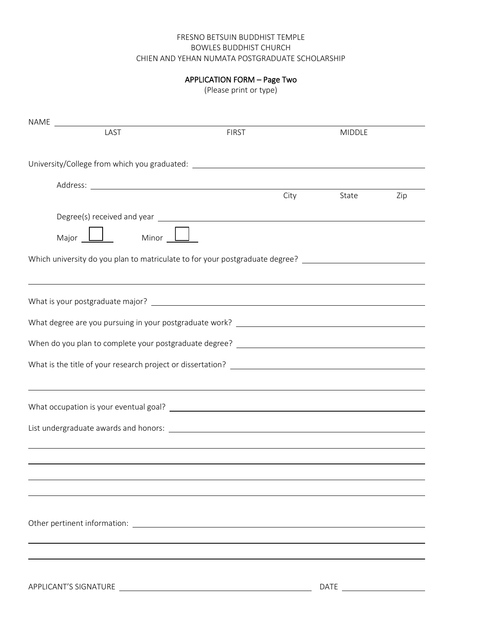### FRESNO BETSUIN BUDDHIST TEMPLE BOWLES BUDDHIST CHURCH CHIEN AND YEHAN NUMATA POSTGRADUATE SCHOLARSHIP

# APPLICATION FORM – Page Two

(Please print or type)

| LAST                                                                                                 | <b>FIRST</b> | <b>MIDDLE</b> |     |
|------------------------------------------------------------------------------------------------------|--------------|---------------|-----|
|                                                                                                      |              |               |     |
| University/College from which you graduated: ___________________________________                     |              |               |     |
|                                                                                                      |              |               |     |
|                                                                                                      |              | City State    | Zip |
|                                                                                                      |              |               |     |
| Major Minor                                                                                          |              |               |     |
| Which university do you plan to matriculate to for your postgraduate degree? _______________________ |              |               |     |
|                                                                                                      |              |               |     |
|                                                                                                      |              |               |     |
|                                                                                                      |              |               |     |
|                                                                                                      |              |               |     |
|                                                                                                      |              |               |     |
| ,我们也不会有什么。""我们的人,我们也不会有什么?""我们的人,我们也不会有什么?""我们的人,我们也不会有什么?""我们的人,我们也不会有什么?""我们的人                     |              |               |     |
|                                                                                                      |              |               |     |
|                                                                                                      |              |               |     |
|                                                                                                      |              |               |     |
|                                                                                                      |              |               |     |
|                                                                                                      |              |               |     |
|                                                                                                      |              |               |     |
|                                                                                                      |              |               |     |
|                                                                                                      |              |               |     |
|                                                                                                      |              |               |     |